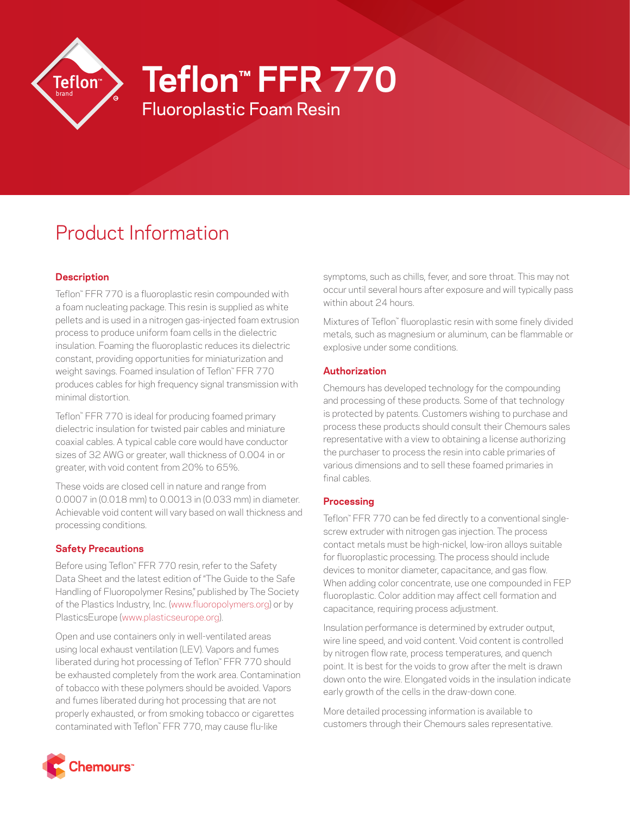

Fluoroplastic Foam Resin **Teflon™ FFR 770**

# Product Information

# **Description**

Teflon™ FFR 770 is a fluoroplastic resin compounded with a foam nucleating package. This resin is supplied as white pellets and is used in a nitrogen gas-injected foam extrusion process to produce uniform foam cells in the dielectric insulation. Foaming the fluoroplastic reduces its dielectric constant, providing opportunities for miniaturization and weight savings. Foamed insulation of Teflon™ FFR 770 produces cables for high frequency signal transmission with minimal distortion.

Teflon™ FFR 770 is ideal for producing foamed primary dielectric insulation for twisted pair cables and miniature coaxial cables. A typical cable core would have conductor sizes of 32 AWG or greater, wall thickness of 0.004 in or greater, with void content from 20% to 65%.

These voids are closed cell in nature and range from 0.0007 in (0.018 mm) to 0.0013 in (0.033 mm) in diameter. Achievable void content will vary based on wall thickness and processing conditions.

# **Safety Precautions**

Before using Teflon™ FFR 770 resin, refer to the Safety Data Sheet and the latest edition of "The Guide to the Safe Handling of Fluoropolymer Resins," published by The Society of the Plastics Industry, Inc. [\(www.fluoropolymers.org\)](http://www.fluoropolymers.org) or by PlasticsEurope ([www.plasticseurope.org](http://www.plasticseurope.org)).

Open and use containers only in well-ventilated areas using local exhaust ventilation (LEV). Vapors and fumes liberated during hot processing of Teflon™ FFR 770 should be exhausted completely from the work area. Contamination of tobacco with these polymers should be avoided. Vapors and fumes liberated during hot processing that are not properly exhausted, or from smoking tobacco or cigarettes contaminated with Teflon™ FFR 770, may cause flu-like

symptoms, such as chills, fever, and sore throat. This may not occur until several hours after exposure and will typically pass within about 24 hours.

Mixtures of Teflon™ fluoroplastic resin with some finely divided metals, such as magnesium or aluminum, can be flammable or explosive under some conditions.

## **Authorization**

Chemours has developed technology for the compounding and processing of these products. Some of that technology is protected by patents. Customers wishing to purchase and process these products should consult their Chemours sales representative with a view to obtaining a license authorizing the purchaser to process the resin into cable primaries of various dimensions and to sell these foamed primaries in final cables.

## **Processing**

Teflon™ FFR 770 can be fed directly to a conventional singlescrew extruder with nitrogen gas injection. The process contact metals must be high-nickel, low-iron alloys suitable for fluoroplastic processing. The process should include devices to monitor diameter, capacitance, and gas flow. When adding color concentrate, use one compounded in FEP fluoroplastic. Color addition may affect cell formation and capacitance, requiring process adjustment.

Insulation performance is determined by extruder output, wire line speed, and void content. Void content is controlled by nitrogen flow rate, process temperatures, and quench point. It is best for the voids to grow after the melt is drawn down onto the wire. Elongated voids in the insulation indicate early growth of the cells in the draw-down cone.

More detailed processing information is available to customers through their Chemours sales representative.